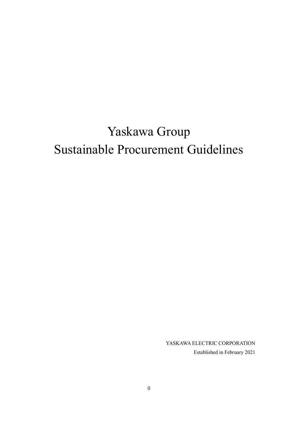# Yaskawa Group Sustainable Procurement Guidelines

YASKAWA ELECTRIC CORPORATION Established in February 2021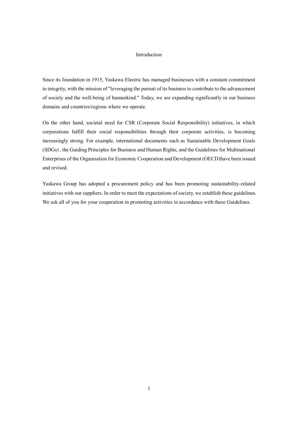## Introduction

Since its foundation in 1915, Yaskawa Electric has managed businesses with a constant commitment to integrity, with the mission of "leveraging the pursuit of its business to contribute to the advancement of society and the well-being of humankind." Today, we are expanding significantly in our business domains and countries/regions where we operate.

On the other hand, societal need for CSR (Corporate Social Responsibility) initiatives, in which corporations fulfill their social responsibilities through their corporate activities, is becoming increasingly strong. For example, international documents such as Sustainable Development Goals (SDGs) , the Guiding Principles for Business and Human Rights, and the Guidelines for Multinational Enterprises of the Organisation for Economic Cooperation and Development (OECD)have been issued and revised.

Yaskawa Group has adopted a procurement policy and has been promoting sustainability-related initiatives with our suppliers. In order to meet the expectations of society, we establish these guidelines. We ask all of you for your cooperation in promoting activities in accordance with these Guidelines.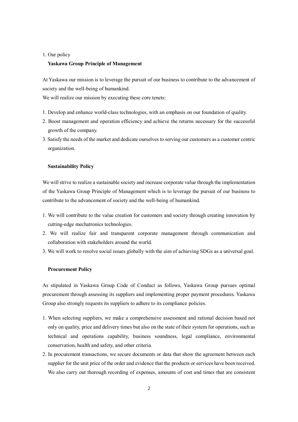#### 1. Our policy

## **Yaskawa Group Principle of Management**

At Yaskawa our mission is to leverage the pursuit of our business to contribute to the advancement of society and the well-being of humankind.

We will realize our mission by executing these core tenets:

- 1. Develop and enhance world-class technologies, with an emphasis on our foundation of quality.
- 2. Boost management and operation efficiency and achieve the returns necessary for the successful growth of the company.
- 3. Satisfy the needs of the market and dedicate ourselves to serving our customers as a customer centric organization.

#### **Sustainability Policy**

We will strive to realize a sustainable society and increase corporate value through the implementation of the Yaskawa Group Principle of Management which is to leverage the pursuit of our business to contribute to the advancement of society and the well-being of humankind.

- 1. We will contribute to the value creation for customers and society through creating innovation by cutting-edge mechatronics technologies.
- 2. We will realize fair and transparent corporate management through communication and collaboration with stakeholders around the world.
- 3. We will work to resolve social issues globally with the aim of achieving SDGs as a universal goal.

#### **Procurement Policy**

As stipulated in Yaskawa Group Code of Conduct as follows, Yaskawa Group pursues optimal procurement through assessing its suppliers and implementing proper payment procedures. Yaskawa Group also strongly requests its suppliers to adhere to its compliance policies.

- 1. When selecting suppliers, we make a comprehensive assessment and rational decision based not only on quality, price and delivery times but also on the state of their system for operations, such as technical and operations capability, business soundness, legal compliance, environmental conservation, health and safety, and other criteria.
- 2. In procurement transactions, we secure documents or data that show the agreement between each supplier for the unit price of the order and evidence that the products or services have been received. We also carry out thorough recording of expenses, amounts of cost and times that are consistent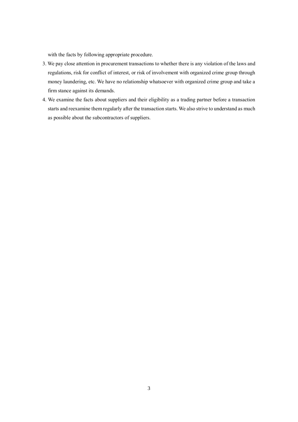with the facts by following appropriate procedure.

- 3. We pay close attention in procurement transactions to whether there is any violation of the laws and regulations, risk for conflict of interest, or risk of involvement with organized crime group through money laundering, etc. We have no relationship whatsoever with organized crime group and take a firm stance against its demands.
- 4. We examine the facts about suppliers and their eligibility as a trading partner before a transaction starts and reexamine them regularly after the transaction starts. We also strive to understand as much as possible about the subcontractors of suppliers.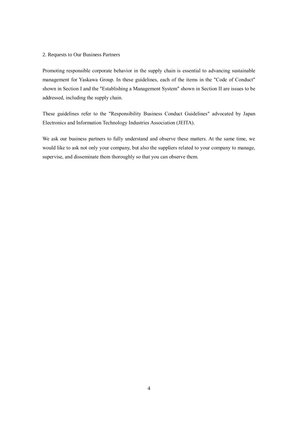#### 2. Requests to Our Business Partners

Promoting responsible corporate behavior in the supply chain is essential to advancing sustainable management for Yaskawa Group. In these guidelines, each of the items in the "Code of Conduct" shown in Section I and the "Establishing a Management System" shown in Section II are issues to be addressed, including the supply chain.

These guidelines refer to the "Responsibility Business Conduct Guidelines" advocated by Japan Electronics and Information Technology Industries Association (JEITA).

We ask our business partners to fully understand and observe these matters. At the same time, we would like to ask not only your company, but also the suppliers related to your company to manage, supervise, and disseminate them thoroughly so that you can observe them.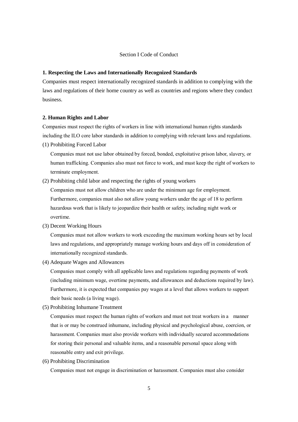## Section I Code of Conduct

#### **1. Respecting the Laws and Internationally Recognized Standards**

Companies must respect internationally recognized standards in addition to complying with the laws and regulations of their home country as well as countries and regions where they conduct business.

#### **2. Human Rights and Labor**

Companies must respect the rights of workers in line with international human rights standards including the ILO core labor standards in addition to complying with relevant laws and regulations.

(1) Prohibiting Forced Labor

Companies must not use labor obtained by forced, bonded, exploitative prison labor, slavery, or human trafficking. Companies also must not force to work, and must keep the right of workers to terminate employment.

(2) Prohibiting child labor and respecting the rights of young workers

Companies must not allow children who are under the minimum age for employment. Furthermore, companies must also not allow young workers under the age of 18 to perform hazardous work that is likely to jeopardize their health or safety, including night work or overtime.

(3) Decent Working Hours

Companies must not allow workers to work exceeding the maximum working hours set by local laws and regulations, and appropriately manage working hours and days off in consideration of internationally recognized standards.

(4) Adequate Wages and Allowances

Companies must comply with all applicable laws and regulations regarding payments of work (including minimum wage, overtime payments, and allowances and deductions required by law). Furthermore, it is expected that companies pay wages at a level that allows workers to support their basic needs (a living wage).

(5) Prohibiting Inhumane Treatment

Companies must respect the human rights of workers and must not treat workers in a manner that is or may be construed inhumane, including physical and psychological abuse, coercion, or harassment. Companies must also provide workers with individually secured accommodations for storing their personal and valuable items, and a reasonable personal space along with reasonable entry and exit privilege.

(6) Prohibiting Discrimination

Companies must not engage in discrimination or harassment. Companies must also consider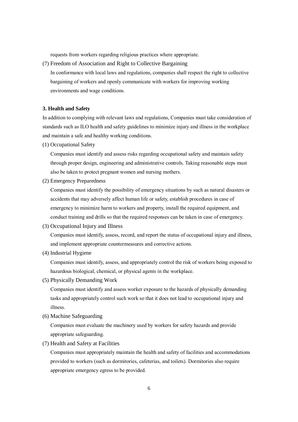requests from workers regarding religious practices where appropriate.

(7) Freedom of Association and Right to Collective Bargaining

In conformance with local laws and regulations, companies shall respect the right to collective bargaining of workers and openly communicate with workers for improving working environments and wage conditions.

## **3. Health and Safety**

In addition to complying with relevant laws and regulations, Companies must take consideration of standards such as ILO health and safety guidelines to minimize injury and illness in the workplace and maintain a safe and healthy working conditions.

(1) Occupational Safety

Companies must identify and assess risks regarding occupational safety and maintain safety through proper design, engineering and administrative controls. Taking reasonable steps must also be taken to protect pregnant women and nursing mothers.

(2) Emergency Preparedness

Companies must identify the possibility of emergency situations by such as natural disasters or accidents that may adversely affect human life or safety, establish procedures in case of emergency to minimize harm to workers and property, install the required equipment, and conduct training and drills so that the required responses can be taken in case of emergency.

(3) Occupational Injury and Illness

Companies must identify, assess, record, and report the status of occupational injury and illness, and implement appropriate countermeasures and corrective actions.

(4) Industrial Hygiene

Companies must identify, assess, and appropriately control the risk of workers being exposed to hazardous biological, chemical, or physical agents in the workplace.

(5) Physically Demanding Work

Companies must identify and assess worker exposure to the hazards of physically demanding tasks and appropriately control such work so that it does not lead to occupational injury and illness.

(6) Machine Safeguarding

Companies must evaluate the machinery used by workers for safety hazards and provide appropriate safeguarding.

(7) Health and Safety at Facilities

Companies must appropriately maintain the health and safety of facilities and accommodations provided to workers (such as dormitories, cafeterias, and toilets). Dormitories also require appropriate emergency egress to be provided.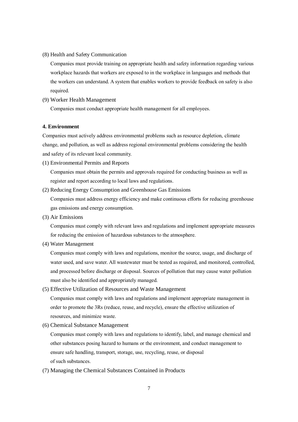(8) Health and Safety Communication

Companies must provide training on appropriate health and safety information regarding various workplace hazards that workers are exposed to in the workplace in languages and methods that the workers can understand. A system that enables workers to provide feedback on safety is also required.

# (9) Worker Health Management

Companies must conduct appropriate health management for all employees.

## **4. Environment**

Companies must actively address environmental problems such as resource depletion, climate change, and pollution, as well as address regional environmental problems considering the health and safety of its relevant local community.

(1) Environmental Permits and Reports

Companies must obtain the permits and approvals required for conducting business as well as register and report according to local laws and regulations.

(2) Reducing Energy Consumption and Greenhouse Gas Emissions

Companies must address energy efficiency and make continuous efforts for reducing greenhouse gas emissions and energy consumption.

(3) Air Emissions

Companies must comply with relevant laws and regulations and implement appropriate measures for reducing the emission of hazardous substances to the atmosphere.

(4) Water Management

Companies must comply with laws and regulations, monitor the source, usage, and discharge of water used, and save water. All wastewater must be tested as required, and monitored, controlled, and processed before discharge or disposal. Sources of pollution that may cause water pollution must also be identified and appropriately managed.

(5) Effective Utilization of Resources and Waste Management

Companies must comply with laws and regulations and implement appropriate management in order to promote the 3Rs (reduce, reuse, and recycle), ensure the effective utilization of resources, and minimize waste.

(6) Chemical Substance Management

Companies must comply with laws and regulations to identify, label, and manage chemical and other substances posing hazard to humans or the environment, and conduct management to ensure safe handling, transport, storage, use, recycling, reuse, or disposal of such substances.

(7) Managing the Chemical Substances Contained in Products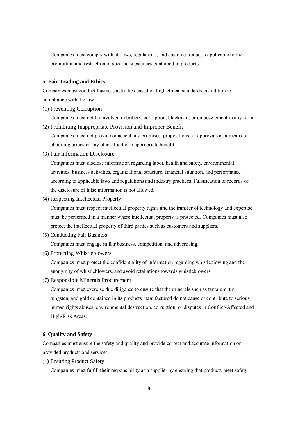Companies must comply with all laws, regulations, and customer requests applicable to the prohibition and restriction of specific substances contained in products.

## **5. Fair Trading and Ethics**

Companies must conduct business activities based on high ethical standards in addition to compliance with the law.

(1) Preventing Corruption

Companies must not be involved in bribery, corruption, blackmail, or embezzlement in any form.

(2) Prohibiting Inappropriate Provision and Improper Benefit

Companies must not provide or accept any promises, propositions, or approvals as a means of obtaining bribes or any other illicit or inappropriate benefit.

(3) Fair Information Disclosure

Companies must disclose information regarding labor, health and safety, environmental activities, business activities, organizational structure, financial situation, and performance according to applicable laws and regulations and industry practices. Falsification of records or the disclosure of false information is not allowed.

(4) Respecting Intellectual Property

Companies must respect intellectual property rights and the transfer of technology and expertise must be performed in a manner where intellectual property is protected. Companies must also protect the intellectual property of third parties such as customers and suppliers.

(5) Conducting Fair Business

Companies must engage in fair business, competition, and advertising.

(6) Protecting Whistleblowers

Companies must protect the confidentiality of information regarding whistleblowing and the anonymity of whistleblowers, and avoid retaliations towards whistleblowers.

(7) Responsible Minerals Procurement

Companies must exercise due diligence to ensure that the minerals such as tantalum, tin, tungsten, and gold contained in its products manufactured do not cause or contribute to serious human rights abuses, environmental destruction, corruption, or disputes in Conflict-Affected and High-Risk Areas.

### **6. Quality and Safety**

Companies must ensure the safety and quality and provide correct and accurate information on provided products and services.

(1) Ensuring Product Safety

Companies must fulfill their responsibility as a supplier by ensuring that products meet safety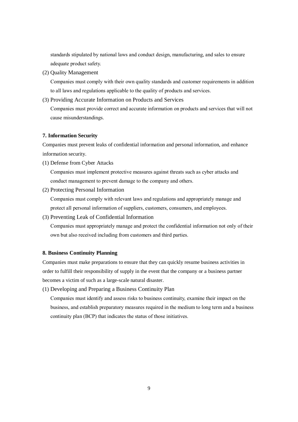standards stipulated by national laws and conduct design, manufacturing, and sales to ensure adequate product safety.

(2) Quality Management

Companies must comply with their own quality standards and customer requirements in addition to all laws and regulations applicable to the quality of products and services.

(3) Providing Accurate Information on Products and Services

Companies must provide correct and accurate information on products and services that will not cause misunderstandings.

#### **7. Information Security**

Companies must prevent leaks of confidential information and personal information, and enhance information security.

(1) Defense from Cyber Attacks

Companies must implement protective measures against threats such as cyber attacks and conduct management to prevent damage to the company and others.

(2) Protecting Personal Information

Companies must comply with relevant laws and regulations and appropriately manage and protect all personal information of suppliers, customers, consumers, and employees.

(3) Preventing Leak of Confidential Information

Companies must appropriately manage and protect the confidential information not only of their own but also received including from customers and third parties.

## **8. Business Continuity Planning**

Companies must make preparations to ensure that they can quickly resume business activities in order to fulfill their responsibility of supply in the event that the company or a business partner becomes a victim of such as a large-scale natural disaster.

(1) Developing and Preparing a Business Continuity Plan

Companies must identify and assess risks to business continuity, examine their impact on the business, and establish preparatory measures required in the medium to long term and a business continuity plan (BCP) that indicates the status of those initiatives.